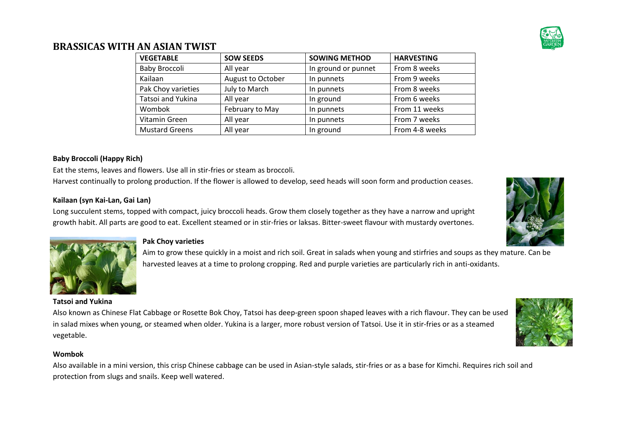

### **BRASSICAS WITH AN ASIAN TWIST**

| <b>VEGETABLE</b>      | <b>SOW SEEDS</b>  | <b>SOWING METHOD</b> | <b>HARVESTING</b> |
|-----------------------|-------------------|----------------------|-------------------|
| Baby Broccoli         | All year          | In ground or punnet  | From 8 weeks      |
| Kailaan               | August to October | In punnets           | From 9 weeks      |
| Pak Choy varieties    | July to March     | In punnets           | From 8 weeks      |
| Tatsoi and Yukina     | All year          | In ground            | From 6 weeks      |
| Wombok                | February to May   | In punnets           | From 11 weeks     |
| Vitamin Green         | All year          | In punnets           | From 7 weeks      |
| <b>Mustard Greens</b> | All year          | In ground            | From 4-8 weeks    |

### **Baby Broccoli (Happy Rich)**

Eat the stems, leaves and flowers. Use all in stir-fries or steam as broccoli. Harvest continually to prolong production. If the flower is allowed to develop, seed heads will soon form and production ceases.

### **Kailaan (syn Kai-Lan, Gai Lan)**

Long succulent stems, topped with compact, juicy broccoli heads. Grow them closely together as they have a narrow and upright growth habit. All parts are good to eat. Excellent steamed or in stir-fries or laksas. Bitter-sweet flavour with mustardy overtones.



### **Pak Choy varieties**

Aim to grow these quickly in a moist and rich soil. Great in salads when young and stirfries and soups as they mature. Can be harvested leaves at a time to prolong cropping. Red and purple varieties are particularly rich in anti-oxidants.

### **Tatsoi and Yukina**

Also known as Chinese Flat Cabbage or Rosette Bok Choy, Tatsoi has deep-green spoon shaped leaves with a rich flavour. They can be used in salad mixes when young, or steamed when older. Yukina is a larger, more robust version of Tatsoi. Use it in stir-fries or as a steamed vegetable.

#### **Wombok**

Also available in a mini version, this crisp Chinese cabbage can be used in Asian-style salads, stir-fries or as a base for Kimchi. Requires rich soil and protection from slugs and snails. Keep well watered.